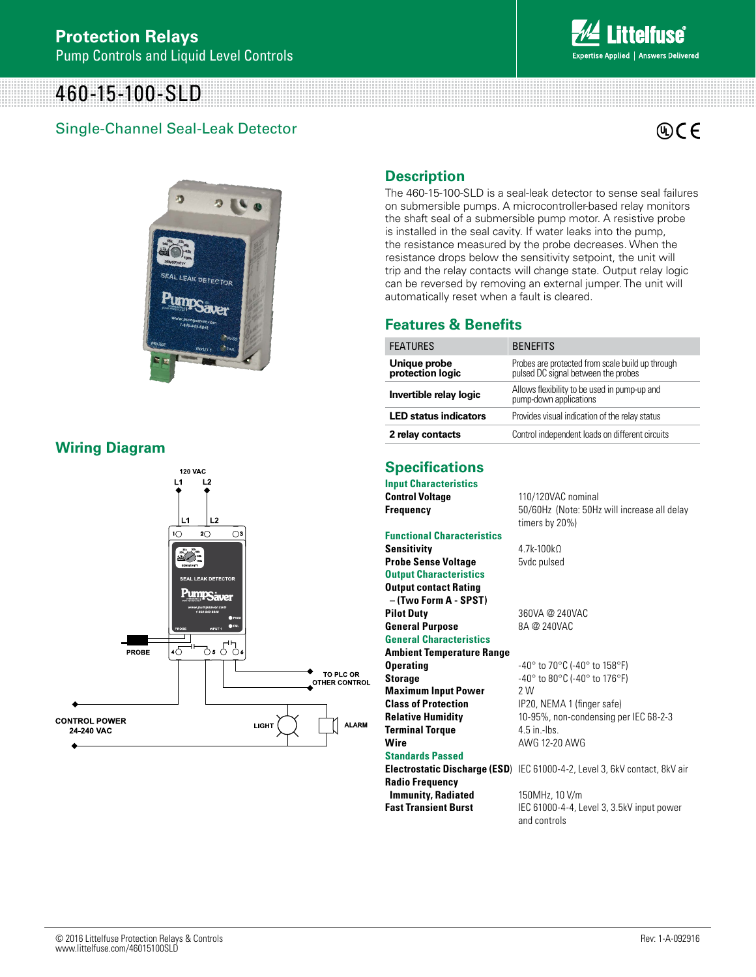# 460-15-100-SLD

### Single-Channel Seal-Leak Detector



**Answers Delivered** 



#### **Wiring Diagram**



#### **Description**

The 460-15-100-SLD is a seal-leak detector to sense seal failures on submersible pumps. A microcontroller-based relay monitors the shaft seal of a submersible pump motor. A resistive probe is installed in the seal cavity. If water leaks into the pump, the resistance measured by the probe decreases. When the resistance drops below the sensitivity setpoint, the unit will trip and the relay contacts will change state. Output relay logic can be reversed by removing an external jumper. The unit will automatically reset when a fault is cleared.

#### **Features & Benefits**

| <b>FEATURES</b>                  | <b>BENEFITS</b>                                                                         |
|----------------------------------|-----------------------------------------------------------------------------------------|
| Unique probe<br>protection logic | Probes are protected from scale build up through<br>pulsed DC signal between the probes |
| Invertible relay logic           | Allows flexibility to be used in pump-up and<br>pump-down applications                  |
| <b>LED status indicators</b>     | Provides visual indication of the relay status                                          |
| 2 relay contacts                 | Control independent loads on different circuits                                         |

### **Specifications**

| <b>Input Characteristics</b>      |                                                                            |
|-----------------------------------|----------------------------------------------------------------------------|
| <b>Control Voltage</b>            | 110/120VAC nominal                                                         |
| <b>Frequency</b>                  | 50/60Hz (Note: 50Hz will increase all delay                                |
|                                   | timers by 20%)                                                             |
| <b>Functional Characteristics</b> |                                                                            |
| <b>Sensitivity</b>                | $4.7k - 100k$                                                              |
| <b>Probe Sense Voltage</b>        | 5vdc pulsed                                                                |
| <b>Output Characteristics</b>     |                                                                            |
| <b>Output contact Rating</b>      |                                                                            |
| - (Two Form A - SPST)             |                                                                            |
| <b>Pilot Duty</b>                 | 360VA @ 240VAC                                                             |
| <b>General Purpose</b>            | 8A @ 240VAC                                                                |
| <b>General Characteristics</b>    |                                                                            |
| <b>Ambient Temperature Range</b>  |                                                                            |
| <b>Operating</b>                  | $-40^{\circ}$ to 70 $^{\circ}$ C ( $-40^{\circ}$ to 158 $^{\circ}$ F)      |
| <b>Storage</b>                    | $-40^{\circ}$ to 80 $^{\circ}$ C (-40 $^{\circ}$ to 176 $^{\circ}$ F)      |
| <b>Maximum Input Power</b>        | 2 W                                                                        |
| <b>Class of Protection</b>        | IP20, NEMA 1 (finger safe)                                                 |
| <b>Relative Humidity</b>          | 10-95%, non-condensing per IEC 68-2-3                                      |
| <b>Terminal Torque</b>            | $4.5$ in -lhs                                                              |
| Wire                              | AWG 12-20 AWG                                                              |
| <b>Standards Passed</b>           |                                                                            |
|                                   | Electrostatic Discharge (ESD) IEC 61000-4-2, Level 3, 6kV contact, 8kV air |
| <b>Radio Frequency</b>            |                                                                            |
| <b>Immunity, Radiated</b>         | 150MHz, 10 V/m                                                             |

**Fast Transient Burst** IEC 61000-4-4, Level 3, 3.5kV input power and controls